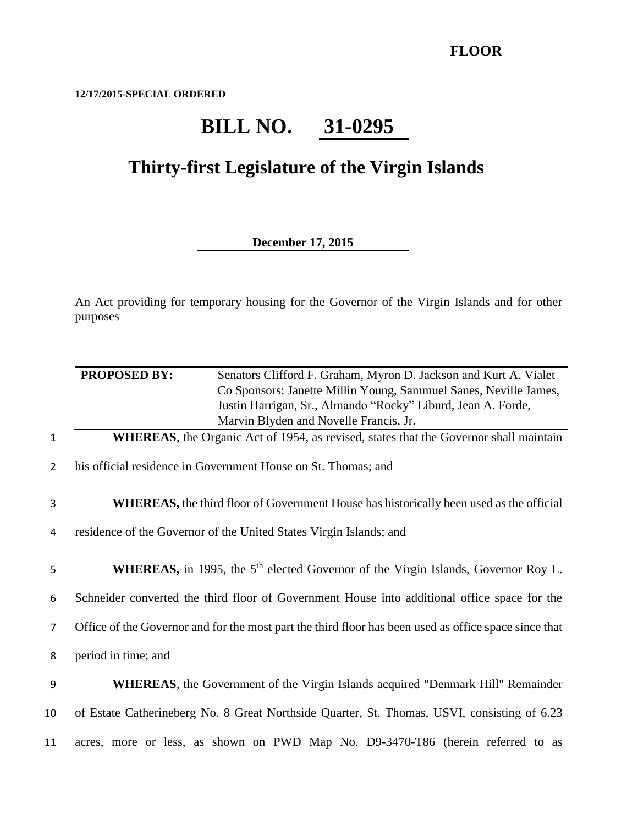**12/17/2015-SPECIAL ORDERED**

## **BILL NO. 31-0295**

## **Thirty-first Legislature of the Virgin Islands**

## **December 17, 2015**

An Act providing for temporary housing for the Governor of the Virgin Islands and for other purposes

|                | <b>PROPOSED BY:</b> | Senators Clifford F. Graham, Myron D. Jackson and Kurt A. Vialet<br>Co Sponsors: Janette Millin Young, Sammuel Sanes, Neville James,<br>Justin Harrigan, Sr., Almando "Rocky" Liburd, Jean A. Forde, |
|----------------|---------------------|------------------------------------------------------------------------------------------------------------------------------------------------------------------------------------------------------|
|                |                     | Marvin Blyden and Novelle Francis, Jr.                                                                                                                                                               |
| $\mathbf{1}$   |                     | <b>WHEREAS</b> , the Organic Act of 1954, as revised, states that the Governor shall maintain                                                                                                        |
| $\overline{2}$ |                     | his official residence in Government House on St. Thomas; and                                                                                                                                        |
| 3              |                     | <b>WHEREAS</b> , the third floor of Government House has historically been used as the official                                                                                                      |
| 4              |                     | residence of the Governor of the United States Virgin Islands; and                                                                                                                                   |
| 5              |                     | <b>WHEREAS</b> , in 1995, the 5 <sup>th</sup> elected Governor of the Virgin Islands, Governor Roy L.                                                                                                |
| 6              |                     | Schneider converted the third floor of Government House into additional office space for the                                                                                                         |
| $\overline{7}$ |                     | Office of the Governor and for the most part the third floor has been used as office space since that                                                                                                |
| 8              | period in time; and |                                                                                                                                                                                                      |
| 9              |                     | <b>WHEREAS</b> , the Government of the Virgin Islands acquired "Denmark Hill" Remainder                                                                                                              |
| 10             |                     | of Estate Catherineberg No. 8 Great Northside Quarter, St. Thomas, USVI, consisting of 6.23                                                                                                          |
| 11             |                     | acres, more or less, as shown on PWD Map No. D9-3470-T86 (herein referred to as                                                                                                                      |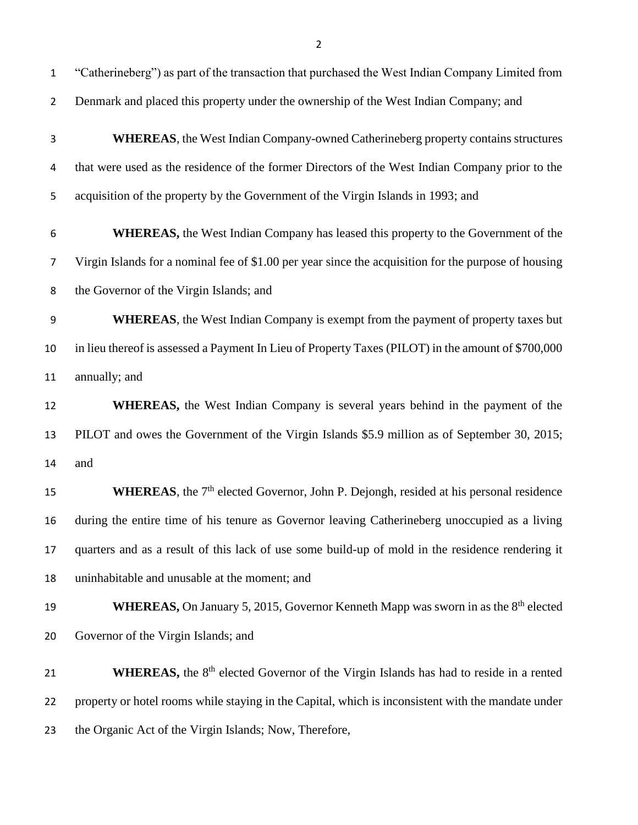| $\overline{2}$ | Denmark and placed this property under the ownership of the West Indian Company; and                      |
|----------------|-----------------------------------------------------------------------------------------------------------|
| 3              | <b>WHEREAS</b> , the West Indian Company-owned Catherineberg property contains structures                 |
| 4              | that were used as the residence of the former Directors of the West Indian Company prior to the           |
| 5              | acquisition of the property by the Government of the Virgin Islands in 1993; and                          |
| 6              | <b>WHEREAS</b> , the West Indian Company has leased this property to the Government of the                |
| 7              | Virgin Islands for a nominal fee of \$1.00 per year since the acquisition for the purpose of housing      |
| 8              | the Governor of the Virgin Islands; and                                                                   |
| 9              | <b>WHEREAS</b> , the West Indian Company is exempt from the payment of property taxes but                 |
| 10             | in lieu thereof is assessed a Payment In Lieu of Property Taxes (PILOT) in the amount of \$700,000        |
| 11             | annually; and                                                                                             |
| 12             | <b>WHEREAS</b> , the West Indian Company is several years behind in the payment of the                    |
| 13             | PILOT and owes the Government of the Virgin Islands \$5.9 million as of September 30, 2015;               |
| 14             | and                                                                                                       |
| 15             | WHEREAS, the 7 <sup>th</sup> elected Governor, John P. Dejongh, resided at his personal residence         |
| 16             | during the entire time of his tenure as Governor leaving Catherineberg unoccupied as a living             |
| 17             | quarters and as a result of this lack of use some build-up of mold in the residence rendering it          |
| 18             | uninhabitable and unusable at the moment; and                                                             |
| 19             | <b>WHEREAS, On January 5, 2015, Governor Kenneth Mapp was sworn in as the 8th elected</b>                 |
| 20             | Governor of the Virgin Islands; and                                                                       |
| 21             | <b>WHEREAS</b> , the 8 <sup>th</sup> elected Governor of the Virgin Islands has had to reside in a rented |
| 22             | property or hotel rooms while staying in the Capital, which is inconsistent with the mandate under        |
| 23             | the Organic Act of the Virgin Islands; Now, Therefore,                                                    |

"Catherineberg") as part of the transaction that purchased the West Indian Company Limited from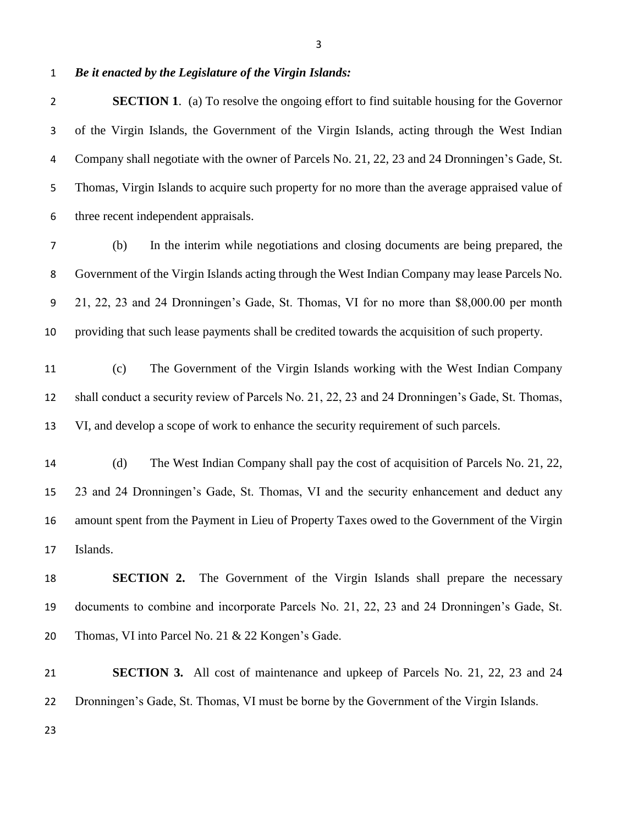*Be it enacted by the Legislature of the Virgin Islands:*

**SECTION 1.** (a) To resolve the ongoing effort to find suitable housing for the Governor of the Virgin Islands, the Government of the Virgin Islands, acting through the West Indian Company shall negotiate with the owner of Parcels No. 21, 22, 23 and 24 Dronningen's Gade, St. Thomas, Virgin Islands to acquire such property for no more than the average appraised value of three recent independent appraisals.

- (b) In the interim while negotiations and closing documents are being prepared, the Government of the Virgin Islands acting through the West Indian Company may lease Parcels No. 21, 22, 23 and 24 Dronningen's Gade, St. Thomas, VI for no more than \$8,000.00 per month providing that such lease payments shall be credited towards the acquisition of such property.
- (c) The Government of the Virgin Islands working with the West Indian Company shall conduct a security review of Parcels No. 21, 22, 23 and 24 Dronningen's Gade, St. Thomas, VI, and develop a scope of work to enhance the security requirement of such parcels.
- (d) The West Indian Company shall pay the cost of acquisition of Parcels No. 21, 22, 23 and 24 Dronningen's Gade, St. Thomas, VI and the security enhancement and deduct any amount spent from the Payment in Lieu of Property Taxes owed to the Government of the Virgin Islands.

 **SECTION 2.** The Government of the Virgin Islands shall prepare the necessary documents to combine and incorporate Parcels No. 21, 22, 23 and 24 Dronningen's Gade, St. Thomas, VI into Parcel No. 21 & 22 Kongen's Gade.

 **SECTION 3.** All cost of maintenance and upkeep of Parcels No. 21, 22, 23 and 24 Dronningen's Gade, St. Thomas, VI must be borne by the Government of the Virgin Islands.